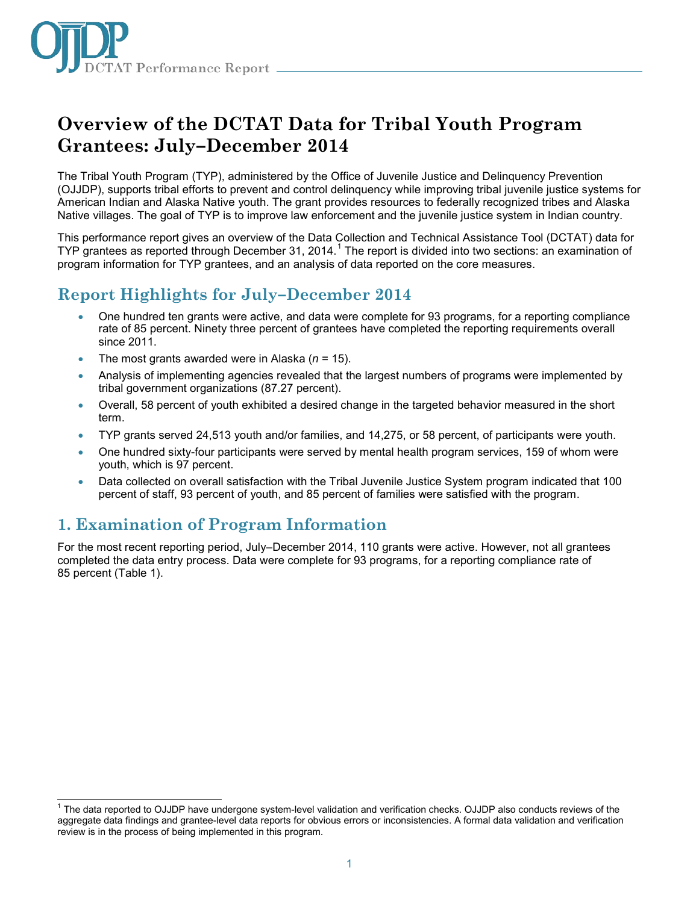

# **Overview of the DCTAT Data for Tribal Youth Program Grantees: July–December 2014**

The Tribal Youth Program (TYP), administered by the Office of Juvenile Justice and Delinquency Prevention (OJJDP), supports tribal efforts to prevent and control delinquency while improving tribal juvenile justice systems for American Indian and Alaska Native youth. The grant provides resources to federally recognized tribes and Alaska Native villages. The goal of TYP is to improve law enforcement and the juvenile justice system in Indian country.

This performance report gives an overview of the Data Collection and Technical Assistance Tool (DCTAT) data for TYP grantees as reported through December 3[1](#page-0-0), 2014.<sup>1</sup> The report is divided into two sections: an examination of program information for TYP grantees, and an analysis of data reported on the core measures.

# **Report Highlights for July–December 2014**

- One hundred ten grants were active, and data were complete for 93 programs, for a reporting compliance rate of 85 percent. Ninety three percent of grantees have completed the reporting requirements overall since 2011.
- The most grants awarded were in Alaska (*n* = 15).
- Analysis of implementing agencies revealed that the largest numbers of programs were implemented by tribal government organizations (87.27 percent).
- Overall, 58 percent of youth exhibited a desired change in the targeted behavior measured in the short term.
- TYP grants served 24,513 youth and/or families, and 14,275, or 58 percent, of participants were youth.
- One hundred sixty-four participants were served by mental health program services, 159 of whom were youth, which is 97 percent.
- Data collected on overall satisfaction with the Tribal Juvenile Justice System program indicated that 100 percent of staff, 93 percent of youth, and 85 percent of families were satisfied with the program.

## **1. Examination of Program Information**

j

For the most recent reporting period, July–December 2014, 110 grants were active. However, not all grantees completed the data entry process. Data were complete for 93 programs, for a reporting compliance rate of 85 percent (Table 1).

<span id="page-0-0"></span><sup>&</sup>lt;sup>1</sup> The data reported to OJJDP have undergone system-level validation and verification checks. OJJDP also conducts reviews of the aggregate data findings and grantee-level data reports for obvious errors or inconsistencies. A formal data validation and verification review is in the process of being implemented in this program.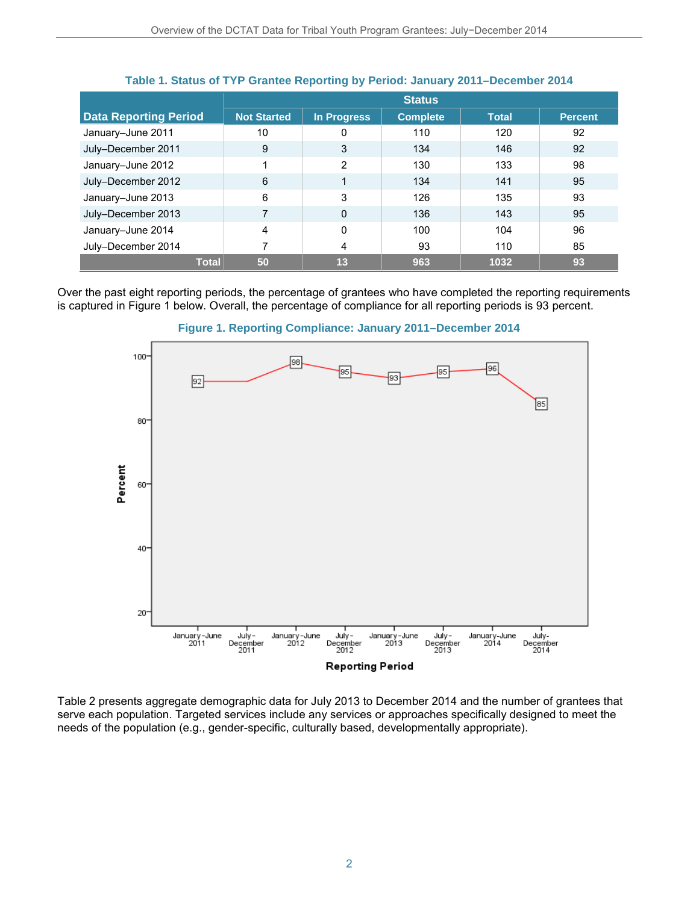|                              | <b>Status</b>      |                |                 |              |                |
|------------------------------|--------------------|----------------|-----------------|--------------|----------------|
| <b>Data Reporting Period</b> | <b>Not Started</b> | In Progress    | <b>Complete</b> | <b>Total</b> | <b>Percent</b> |
| January-June 2011            | 10                 | 0              | 110             | 120          | 92             |
| July-December 2011           | 9                  | 3              | 134             | 146          | 92             |
| January-June 2012            |                    | $\overline{2}$ | 130             | 133          | 98             |
| July-December 2012           | 6                  | 1              | 134             | 141          | 95             |
| January-June 2013            | 6                  | 3              | 126             | 135          | 93             |
| July-December 2013           |                    | $\mathbf{0}$   | 136             | 143          | 95             |
| January-June 2014            | 4                  | $\mathbf{0}$   | 100             | 104          | 96             |
| July-December 2014           |                    | 4              | 93              | 110          | 85             |
| <b>Total</b>                 | 50                 | 13             | 963             | 1032         | 93             |

#### **Table 1. Status of TYP Grantee Reporting by Period: January 2011–December 2014**

Over the past eight reporting periods, the percentage of grantees who have completed the reporting requirements is captured in Figure 1 below. Overall, the percentage of compliance for all reporting periods is 93 percent.





Table 2 presents aggregate demographic data for July 2013 to December 2014 and the number of grantees that serve each population. Targeted services include any services or approaches specifically designed to meet the needs of the population (e.g., gender-specific, culturally based, developmentally appropriate).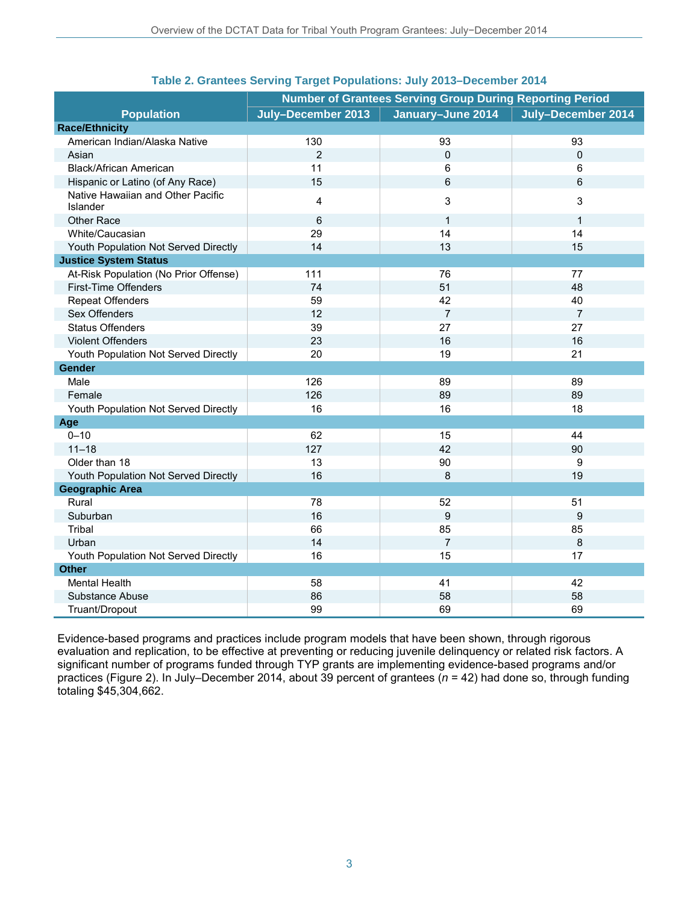|                                               | <b>Number of Grantees Serving Group During Reporting Period</b> |                   |                    |  |
|-----------------------------------------------|-----------------------------------------------------------------|-------------------|--------------------|--|
| <b>Population</b>                             | July-December 2013                                              | January-June 2014 | July-December 2014 |  |
| <b>Race/Ethnicity</b>                         |                                                                 |                   |                    |  |
| American Indian/Alaska Native                 | 130                                                             | 93                | 93                 |  |
| Asian                                         | $\overline{2}$                                                  | $\Omega$          | 0                  |  |
| Black/African American                        | 11                                                              | 6                 | 6                  |  |
| Hispanic or Latino (of Any Race)              | 15                                                              | 6                 | 6                  |  |
| Native Hawaiian and Other Pacific<br>Islander | 4                                                               | 3                 | 3                  |  |
| <b>Other Race</b>                             | 6                                                               | $\mathbf{1}$      | $\mathbf{1}$       |  |
| White/Caucasian                               | 29                                                              | 14                | 14                 |  |
| Youth Population Not Served Directly          | 14                                                              | 13                | 15                 |  |
| <b>Justice System Status</b>                  |                                                                 |                   |                    |  |
| At-Risk Population (No Prior Offense)         | 111                                                             | 76                | 77                 |  |
| First-Time Offenders                          | 74                                                              | 51                | 48                 |  |
| <b>Repeat Offenders</b>                       | 59                                                              | 42                | 40                 |  |
| Sex Offenders                                 | 12                                                              | $\overline{7}$    | $\overline{7}$     |  |
| <b>Status Offenders</b>                       | 39                                                              | 27                | 27                 |  |
| Violent Offenders                             | 23                                                              | 16                | 16                 |  |
| Youth Population Not Served Directly          | 20                                                              | 19                | 21                 |  |
| Gender                                        |                                                                 |                   |                    |  |
| Male                                          | 126                                                             | 89                | 89                 |  |
| Female                                        | 126                                                             | 89                | 89                 |  |
| Youth Population Not Served Directly          | 16                                                              | 16                | 18                 |  |
| Age                                           |                                                                 |                   |                    |  |
| $0 - 10$                                      | 62                                                              | 15                | 44                 |  |
| $11 - 18$                                     | 127                                                             | 42                | 90                 |  |
| Older than 18                                 | 13                                                              | 90                | 9                  |  |
| Youth Population Not Served Directly          | 16                                                              | 8                 | 19                 |  |
| <b>Geographic Area</b>                        |                                                                 |                   |                    |  |
| Rural                                         | 78                                                              | 52                | 51                 |  |
| Suburban                                      | 16                                                              | 9                 | 9                  |  |
| Tribal                                        | 66                                                              | 85                | 85                 |  |
| Urban                                         | 14                                                              | $\overline{7}$    | 8                  |  |
| Youth Population Not Served Directly          | 16                                                              | 15                | 17                 |  |
| <b>Other</b>                                  |                                                                 |                   |                    |  |
| <b>Mental Health</b>                          | 58                                                              | 41                | 42                 |  |
| Substance Abuse                               | 86                                                              | 58                | 58                 |  |
| Truant/Dropout                                | 99                                                              | 69                | 69                 |  |

#### **Table 2. Grantees Serving Target Populations: July 2013–December 2014**

Evidence-based programs and practices include program models that have been shown, through rigorous evaluation and replication, to be effective at preventing or reducing juvenile delinquency or related risk factors. A significant number of programs funded through TYP grants are implementing evidence-based programs and/or practices (Figure 2). In July–December 2014, about 39 percent of grantees (*n* = 42) had done so, through funding totaling \$45,304,662.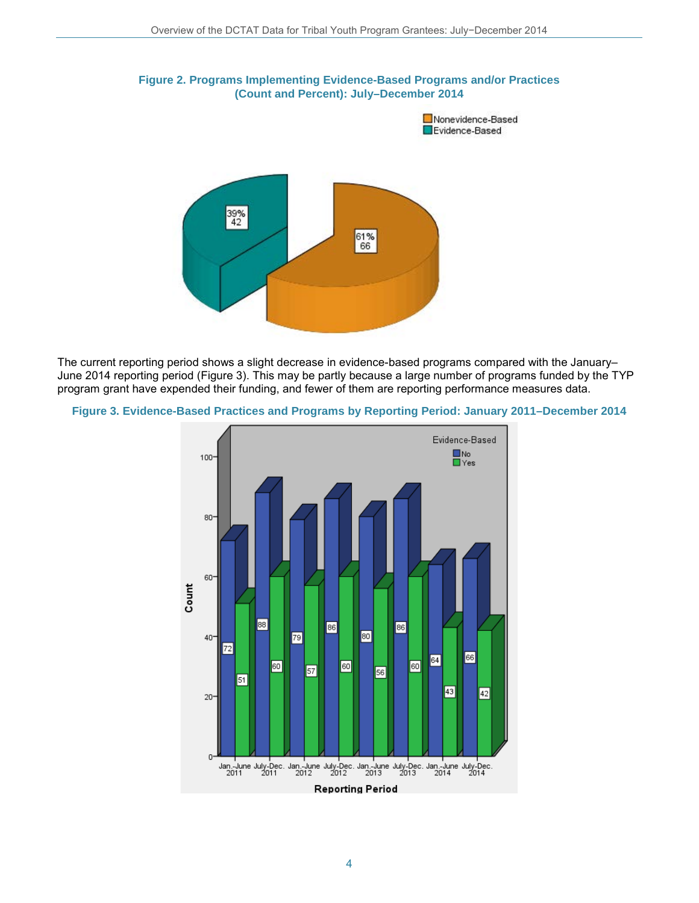

The current reporting period shows a slight decrease in evidence-based programs compared with the January– June 2014 reporting period (Figure 3). This may be partly because a large number of programs funded by the TYP program grant have expended their funding, and fewer of them are reporting performance measures data.



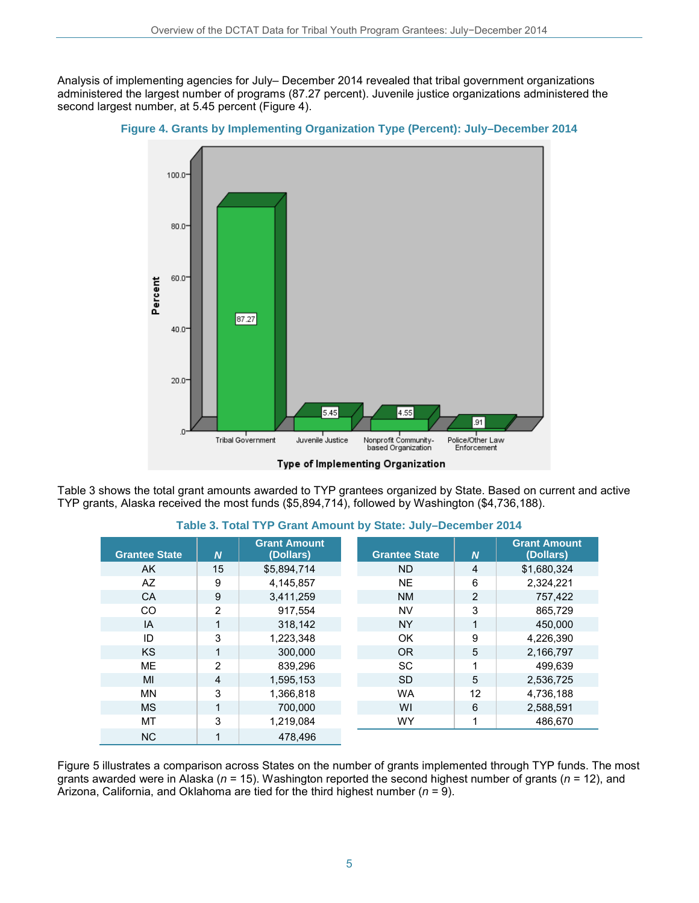Analysis of implementing agencies for July– December 2014 revealed that tribal government organizations administered the largest number of programs (87.27 percent). Juvenile justice organizations administered the second largest number, at 5.45 percent (Figure 4).





Type of Implementing Organization

Table 3 shows the total grant amounts awarded to TYP grantees organized by State. Based on current and active TYP grants, Alaska received the most funds (\$5,894,714), followed by Washington (\$4,736,188).

| <b>Grantee State</b> | $\boldsymbol{N}$ | <b>Grant Amount</b><br>(Dollars) | <b>Grantee State</b> | $\boldsymbol{N}$ | <b>Grant Amount</b><br>(Dollars) |
|----------------------|------------------|----------------------------------|----------------------|------------------|----------------------------------|
| AK.                  | 15               | \$5,894,714                      | <b>ND</b>            | $\overline{4}$   | \$1,680,324                      |
| AZ                   | 9                | 4,145,857                        | <b>NE</b>            | 6                | 2,324,221                        |
| CA                   | 9                | 3,411,259                        | <b>NM</b>            | $\overline{2}$   | 757,422                          |
| CO                   | $\overline{2}$   | 917.554                          | NV                   | 3                | 865,729                          |
| IA                   | 1                | 318.142                          | <b>NY</b>            | 1                | 450.000                          |
| ID                   | 3                | 1,223,348                        | OK                   | 9                | 4.226.390                        |
| <b>KS</b>            |                  | 300.000                          | <b>OR</b>            | 5                | 2,166,797                        |
| <b>ME</b>            | $\overline{2}$   | 839.296                          | <b>SC</b>            | 1                | 499.639                          |
| MI                   | $\overline{4}$   | 1,595,153                        | <b>SD</b>            | 5                | 2,536,725                        |
| <b>MN</b>            | 3                | 1,366,818                        | <b>WA</b>            | 12               | 4,736,188                        |
| <b>MS</b>            |                  | 700.000                          | WI                   | 6                | 2,588,591                        |
| <b>MT</b>            | 3                | 1,219,084                        | <b>WY</b>            |                  | 486,670                          |
| <b>NC</b>            |                  | 478,496                          |                      |                  |                                  |

**Table 3. Total TYP Grant Amount by State: July–December 2014** 

Figure 5 illustrates a comparison across States on the number of grants implemented through TYP funds. The most grants awarded were in Alaska (*n* = 15). Washington reported the second highest number of grants (*n* = 12), and Arizona, California, and Oklahoma are tied for the third highest number (*n* = 9).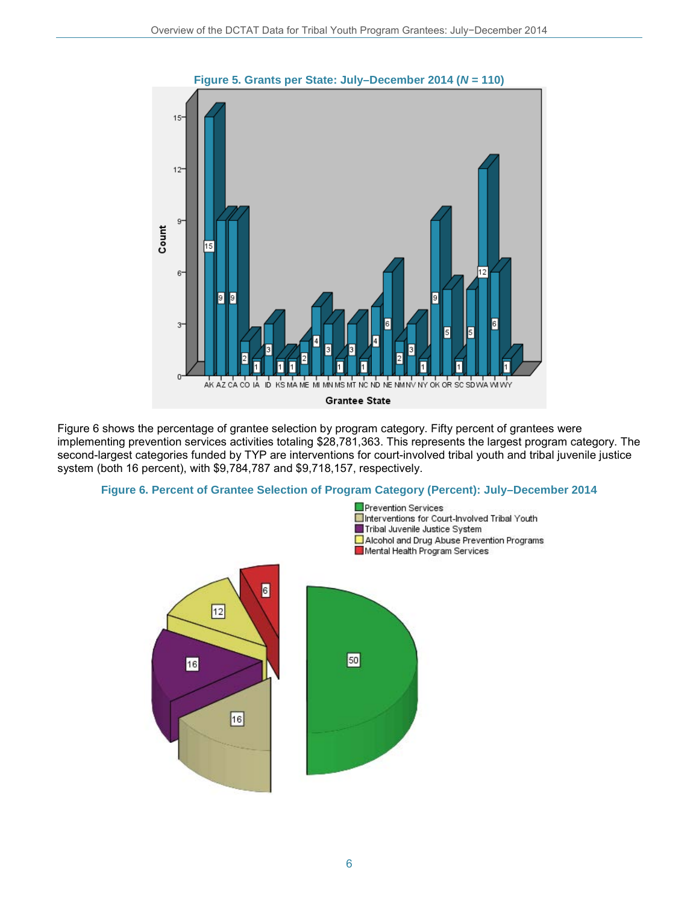

Figure 6 shows the percentage of grantee selection by program category. Fifty percent of grantees were implementing prevention services activities totaling \$28,781,363. This represents the largest program category. The second-largest categories funded by TYP are interventions for court-involved tribal youth and tribal juvenile justice system (both 16 percent), with \$9,784,787 and \$9,718,157, respectively.



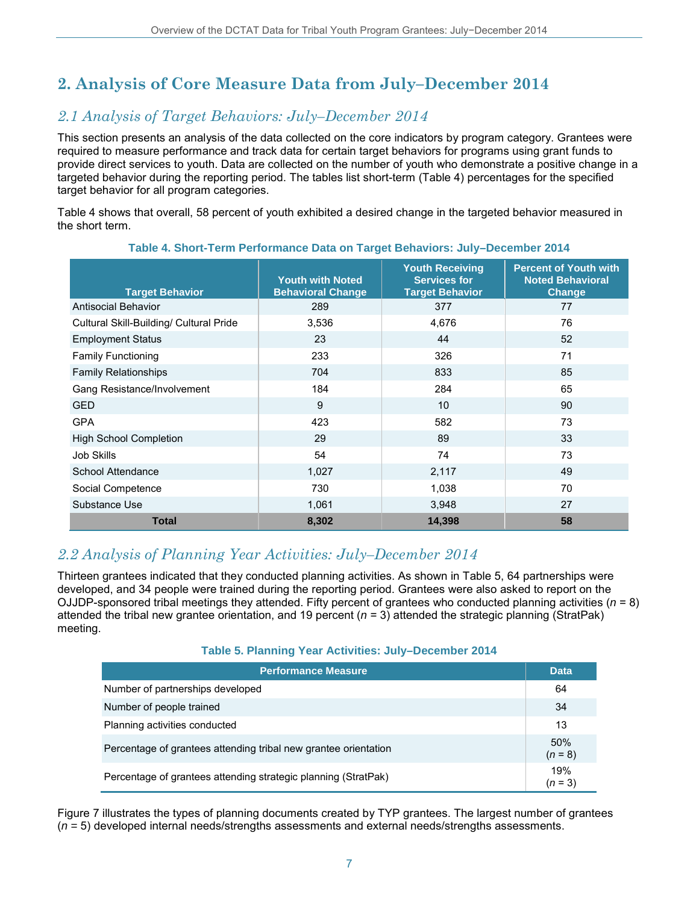# **2. Analysis of Core Measure Data from July–December 2014**

### *2.1 Analysis of Target Behaviors: July–December 2014*

This section presents an analysis of the data collected on the core indicators by program category. Grantees were required to measure performance and track data for certain target behaviors for programs using grant funds to provide direct services to youth. Data are collected on the number of youth who demonstrate a positive change in a targeted behavior during the reporting period. The tables list short-term (Table 4) percentages for the specified target behavior for all program categories.

Table 4 shows that overall, 58 percent of youth exhibited a desired change in the targeted behavior measured in the short term.

| <b>Target Behavior</b>                  | <b>Youth with Noted</b><br><b>Behavioral Change</b> | <b>Youth Receiving</b><br><b>Services for</b><br><b>Target Behavior</b> | <b>Percent of Youth with</b><br><b>Noted Behavioral</b><br><b>Change</b> |
|-----------------------------------------|-----------------------------------------------------|-------------------------------------------------------------------------|--------------------------------------------------------------------------|
| Antisocial Behavior                     | 289                                                 | 377                                                                     | 77                                                                       |
| Cultural Skill-Building/ Cultural Pride | 3,536                                               | 4,676                                                                   | 76                                                                       |
| <b>Employment Status</b>                | 23                                                  | 44                                                                      | 52                                                                       |
| <b>Family Functioning</b>               | 233                                                 | 326                                                                     | 71                                                                       |
| <b>Family Relationships</b>             | 704                                                 | 833                                                                     | 85                                                                       |
| Gang Resistance/Involvement             | 184                                                 | 284                                                                     | 65                                                                       |
| <b>GED</b>                              | 9                                                   | 10                                                                      | 90                                                                       |
| <b>GPA</b>                              | 423                                                 | 582                                                                     | 73                                                                       |
| <b>High School Completion</b>           | 29                                                  | 89                                                                      | 33                                                                       |
| Job Skills                              | 54                                                  | 74                                                                      | 73                                                                       |
| School Attendance                       | 1,027                                               | 2,117                                                                   | 49                                                                       |
| Social Competence                       | 730                                                 | 1,038                                                                   | 70                                                                       |
| Substance Use                           | 1,061                                               | 3,948                                                                   | 27                                                                       |
| <b>Total</b>                            | 8,302                                               | 14,398                                                                  | 58                                                                       |

#### **Table 4. Short-Term Performance Data on Target Behaviors: July–December 2014**

### *2.2 Analysis of Planning Year Activities: July–December 2014*

Thirteen grantees indicated that they conducted planning activities. As shown in Table 5, 64 partnerships were developed, and 34 people were trained during the reporting period. Grantees were also asked to report on the OJJDP-sponsored tribal meetings they attended. Fifty percent of grantees who conducted planning activities (*n* = 8) attended the tribal new grantee orientation, and 19 percent (*n* = 3) attended the strategic planning (StratPak) meeting.

#### **Table 5. Planning Year Activities: July–December 2014**

| <b>Performance Measure</b>                                      | <b>Data</b>      |  |
|-----------------------------------------------------------------|------------------|--|
| Number of partnerships developed                                | 64               |  |
| Number of people trained                                        |                  |  |
| Planning activities conducted                                   |                  |  |
| Percentage of grantees attending tribal new grantee orientation | 50%<br>$(n = 8)$ |  |
| Percentage of grantees attending strategic planning (StratPak)  | 19%<br>$(n = 3)$ |  |

Figure 7 illustrates the types of planning documents created by TYP grantees. The largest number of grantees (*n =* 5) developed internal needs/strengths assessments and external needs/strengths assessments.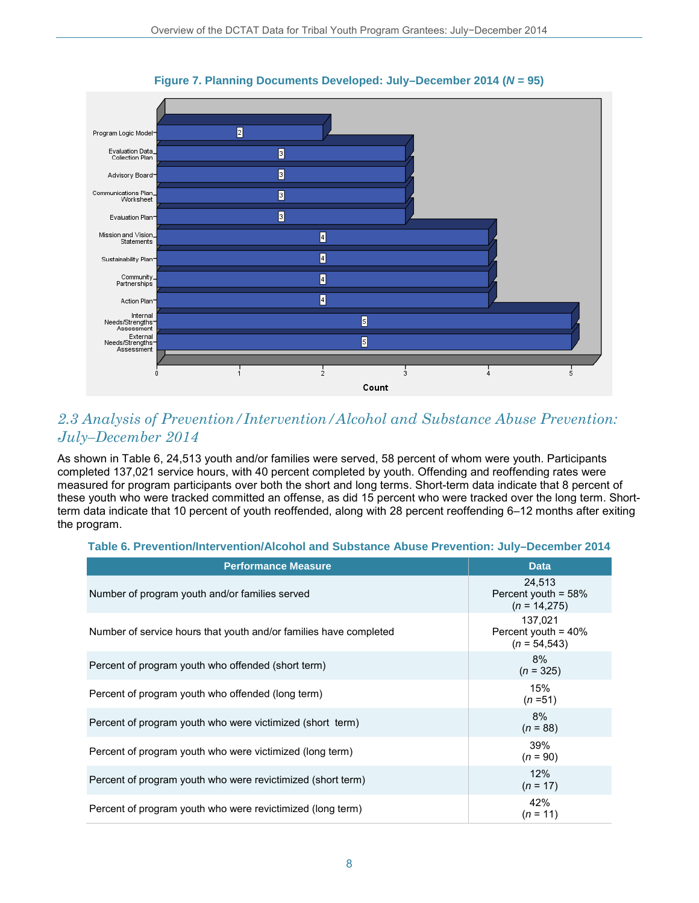

**Figure 7. Planning Documents Developed: July–December 2014 (***N* **= 95)** 

### *2.3 Analysis of Prevention/Intervention/Alcohol and Substance Abuse Prevention: July–December 2014*

As shown in Table 6, 24,513 youth and/or families were served, 58 percent of whom were youth. Participants completed 137,021 service hours, with 40 percent completed by youth. Offending and reoffending rates were measured for program participants over both the short and long terms. Short-term data indicate that 8 percent of these youth who were tracked committed an offense, as did 15 percent who were tracked over the long term. Shortterm data indicate that 10 percent of youth reoffended, along with 28 percent reoffending 6–12 months after exiting the program.

#### **Table 6. Prevention/Intervention/Alcohol and Substance Abuse Prevention: July–December 2014**

| <b>Performance Measure</b>                                        | <b>Data</b>                                          |
|-------------------------------------------------------------------|------------------------------------------------------|
| Number of program youth and/or families served                    | 24.513<br>Percent youth = $58%$<br>$(n = 14,275)$    |
| Number of service hours that youth and/or families have completed | 137,021<br>Percent youth = $40\%$<br>$(n = 54, 543)$ |
| Percent of program youth who offended (short term)                | 8%<br>$(n = 325)$                                    |
| Percent of program youth who offended (long term)                 | 15%<br>$(n=51)$                                      |
| Percent of program youth who were victimized (short term)         | 8%<br>$(n = 88)$                                     |
| Percent of program youth who were victimized (long term)          | 39%<br>$(n = 90)$                                    |
| Percent of program youth who were revictimized (short term)       | 12%<br>$(n = 17)$                                    |
| Percent of program youth who were revictimized (long term)        | 42%<br>$(n = 11)$                                    |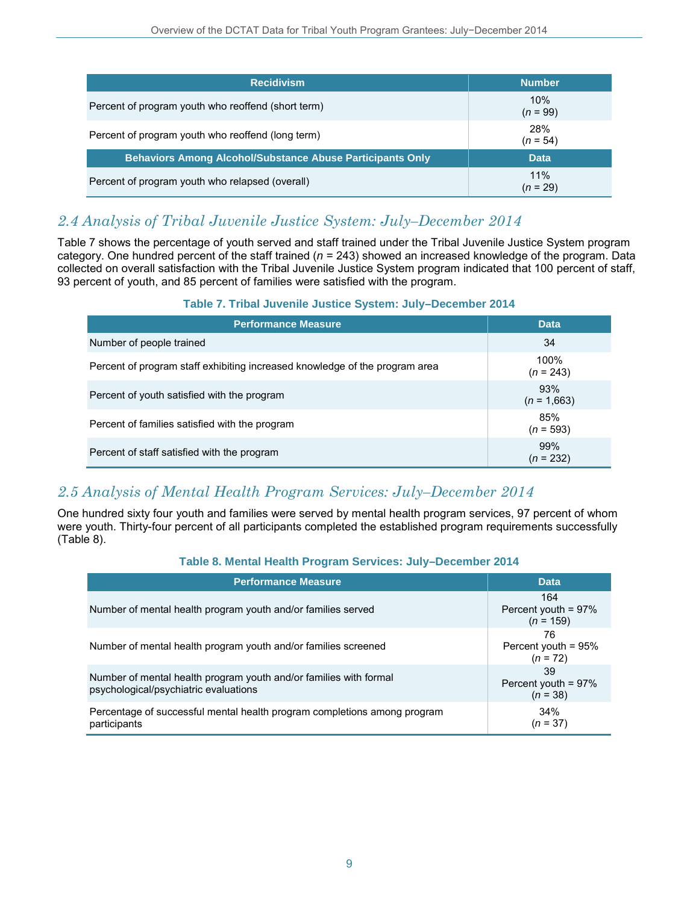| <b>Recidivism</b>                                                | <b>Number</b>     |
|------------------------------------------------------------------|-------------------|
| Percent of program youth who reoffend (short term)               | 10%<br>$(n = 99)$ |
| Percent of program youth who reoffend (long term)                | 28%<br>$(n = 54)$ |
| <b>Behaviors Among Alcohol/Substance Abuse Participants Only</b> | <b>Data</b>       |
| Percent of program youth who relapsed (overall)                  | 11%<br>(n = 29)   |

### *2.4 Analysis of Tribal Juvenile Justice System: July–December 2014*

Table 7 shows the percentage of youth served and staff trained under the Tribal Juvenile Justice System program category. One hundred percent of the staff trained (*n* = 243) showed an increased knowledge of the program. Data collected on overall satisfaction with the Tribal Juvenile Justice System program indicated that 100 percent of staff, 93 percent of youth, and 85 percent of families were satisfied with the program.

#### **Table 7. Tribal Juvenile Justice System: July–December 2014**

| <b>Performance Measure</b>                                                  | <b>Data</b>          |
|-----------------------------------------------------------------------------|----------------------|
| Number of people trained                                                    | 34                   |
| Percent of program staff exhibiting increased knowledge of the program area | 100%<br>$(n = 243)$  |
| Percent of youth satisfied with the program                                 | 93%<br>$(n = 1,663)$ |
| Percent of families satisfied with the program                              | 85%<br>$(n = 593)$   |
| Percent of staff satisfied with the program                                 | 99%<br>$(n = 232)$   |

### *2.5 Analysis of Mental Health Program Services: July–December 2014*

One hundred sixty four youth and families were served by mental health program services, 97 percent of whom were youth. Thirty-four percent of all participants completed the established program requirements successfully (Table 8).

#### **Table 8. Mental Health Program Services: July–December 2014**

| <b>Performance Measure</b>                                                                                 | <b>Data</b>                                  |
|------------------------------------------------------------------------------------------------------------|----------------------------------------------|
| Number of mental health program youth and/or families served                                               | 164<br>Percent youth = $97\%$<br>$(n = 159)$ |
| Number of mental health program youth and/or families screened                                             | 76<br>Percent youth = 95%<br>$(n = 72)$      |
| Number of mental health program youth and/or families with formal<br>psychological/psychiatric evaluations | 39<br>Percent youth = 97%<br>$(n = 38)$      |
| Percentage of successful mental health program completions among program<br>participants                   | 34%<br>$(n = 37)$                            |